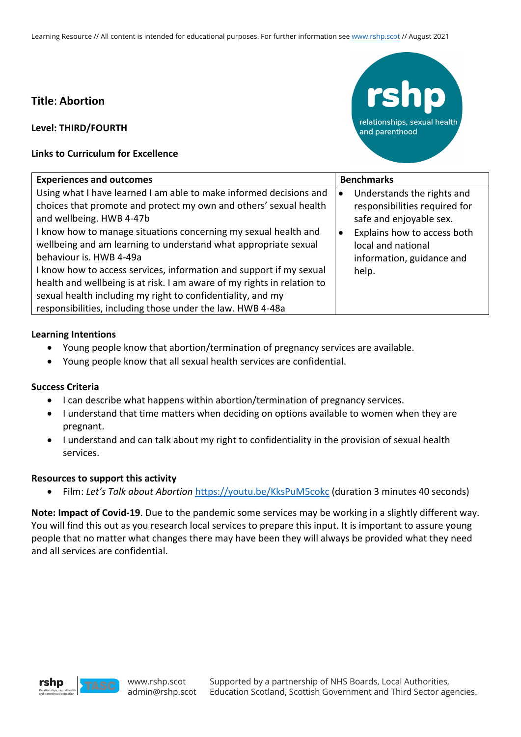# **Title**: **Abortion**

**Level: THIRD/FOURTH**

## **Links to Curriculum for Excellence**



| <b>Experiences and outcomes</b>                                                                                                                                                                                                                                                                                                                                                                                                                                                                                                                                                                                     | <b>Benchmarks</b>                                                                                                                                                                                   |
|---------------------------------------------------------------------------------------------------------------------------------------------------------------------------------------------------------------------------------------------------------------------------------------------------------------------------------------------------------------------------------------------------------------------------------------------------------------------------------------------------------------------------------------------------------------------------------------------------------------------|-----------------------------------------------------------------------------------------------------------------------------------------------------------------------------------------------------|
| Using what I have learned I am able to make informed decisions and<br>choices that promote and protect my own and others' sexual health<br>and wellbeing. HWB 4-47b<br>I know how to manage situations concerning my sexual health and<br>wellbeing and am learning to understand what appropriate sexual<br>behaviour is. HWB 4-49a<br>I know how to access services, information and support if my sexual<br>health and wellbeing is at risk. I am aware of my rights in relation to<br>sexual health including my right to confidentiality, and my<br>responsibilities, including those under the law. HWB 4-48a | Understands the rights and<br>$\bullet$<br>responsibilities required for<br>safe and enjoyable sex.<br>Explains how to access both<br>٠<br>local and national<br>information, guidance and<br>help. |

#### **Learning Intentions**

- Young people know that abortion/termination of pregnancy services are available.
- Young people know that all sexual health services are confidential.

#### **Success Criteria**

- I can describe what happens within abortion/termination of pregnancy services.
- I understand that time matters when deciding on options available to women when they are pregnant.
- I understand and can talk about my right to confidentiality in the provision of sexual health services.

#### **Resources to support this activity**

• Film: *Let's Talk about Abortion* https://youtu.be/KksPuM5cokc (duration 3 minutes 40 seconds)

**Note: Impact of Covid-19**. Due to the pandemic some services may be working in a slightly different way. You will find this out as you research local services to prepare this input. It is important to assure young people that no matter what changes there may have been they will always be provided what they need and all services are confidential.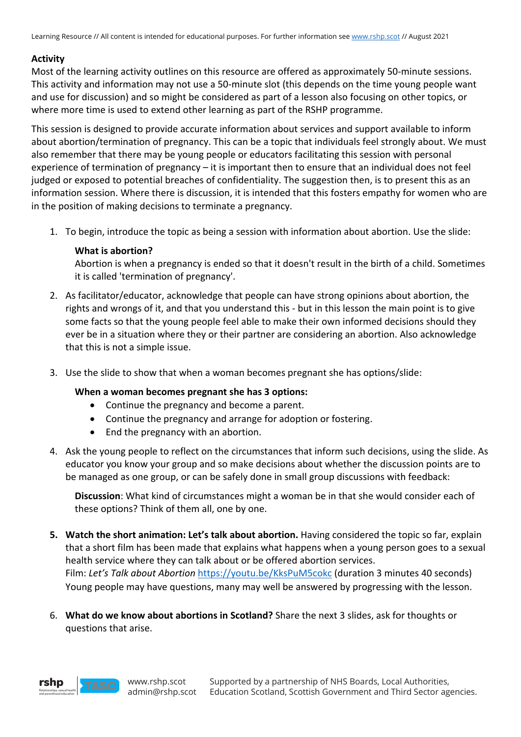## **Activity**

rshp Relationships, sexual health and parenthood education

Most of the learning activity outlines on this resource are offered as approximately 50-minute sessions. This activity and information may not use a 50-minute slot (this depends on the time young people want and use for discussion) and so might be considered as part of a lesson also focusing on other topics, or where more time is used to extend other learning as part of the RSHP programme.

This session is designed to provide accurate information about services and support available to inform about abortion/termination of pregnancy. This can be a topic that individuals feel strongly about. We must also remember that there may be young people or educators facilitating this session with personal experience of termination of pregnancy – it is important then to ensure that an individual does not feel judged or exposed to potential breaches of confidentiality. The suggestion then, is to present this as an information session. Where there is discussion, it is intended that this fosters empathy for women who are in the position of making decisions to terminate a pregnancy.

1. To begin, introduce the topic as being a session with information about abortion. Use the slide:

## **What is abortion?**

Abortion is when a pregnancy is ended so that it doesn't result in the birth of a child. Sometimes it is called 'termination of pregnancy'.

- 2. As facilitator/educator, acknowledge that people can have strong opinions about abortion, the rights and wrongs of it, and that you understand this - but in this lesson the main point is to give some facts so that the young people feel able to make their own informed decisions should they ever be in a situation where they or their partner are considering an abortion. Also acknowledge that this is not a simple issue.
- 3. Use the slide to show that when a woman becomes pregnant she has options/slide:

#### **When a woman becomes pregnant she has 3 options:**

- Continue the pregnancy and become a parent.
- Continue the pregnancy and arrange for adoption or fostering.
- End the pregnancy with an abortion.
- 4. Ask the young people to reflect on the circumstances that inform such decisions, using the slide. As educator you know your group and so make decisions about whether the discussion points are to be managed as one group, or can be safely done in small group discussions with feedback:

**Discussion**: What kind of circumstances might a woman be in that she would consider each of these options? Think of them all, one by one.

- **5. Watch the short animation: Let's talk about abortion.** Having considered the topic so far, explain that a short film has been made that explains what happens when a young person goes to a sexual health service where they can talk about or be offered abortion services. Film: *Let's Talk about Abortion* https://youtu.be/KksPuM5cokc (duration 3 minutes 40 seconds) Young people may have questions, many may well be answered by progressing with the lesson.
- 6. **What do we know about abortions in Scotland?** Share the next 3 slides, ask for thoughts or questions that arise.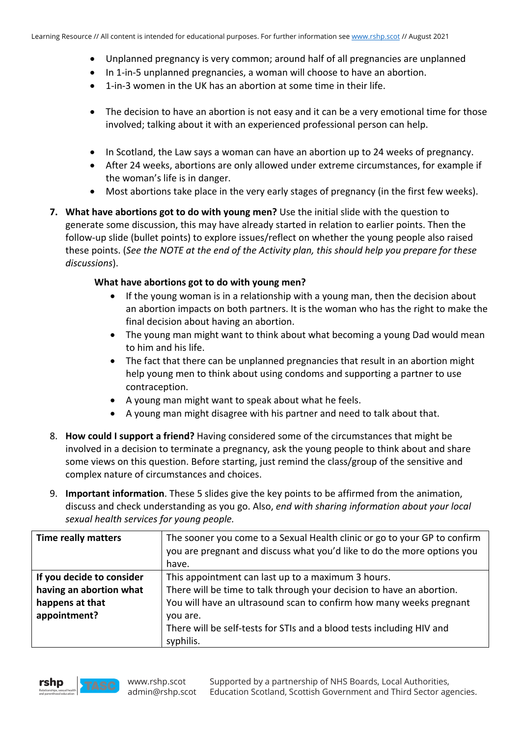- Unplanned pregnancy is very common; around half of all pregnancies are unplanned
- In 1-in-5 unplanned pregnancies, a woman will choose to have an abortion.
- 1-in-3 women in the UK has an abortion at some time in their life.
- The decision to have an abortion is not easy and it can be a very emotional time for those involved; talking about it with an experienced professional person can help.
- In Scotland, the Law says a woman can have an abortion up to 24 weeks of pregnancy.
- After 24 weeks, abortions are only allowed under extreme circumstances, for example if the woman's life is in danger.
- Most abortions take place in the very early stages of pregnancy (in the first few weeks).
- **7. What have abortions got to do with young men?** Use the initial slide with the question to generate some discussion, this may have already started in relation to earlier points. Then the follow-up slide (bullet points) to explore issues/reflect on whether the young people also raised these points. (*See the NOTE at the end of the Activity plan, this should help you prepare for these discussions*).

#### **What have abortions got to do with young men?**

- If the young woman is in a relationship with a young man, then the decision about an abortion impacts on both partners. It is the woman who has the right to make the final decision about having an abortion.
- The young man might want to think about what becoming a young Dad would mean to him and his life.
- The fact that there can be unplanned pregnancies that result in an abortion might help young men to think about using condoms and supporting a partner to use contraception.
- A young man might want to speak about what he feels.
- A young man might disagree with his partner and need to talk about that.
- 8. **How could I support a friend?** Having considered some of the circumstances that might be involved in a decision to terminate a pregnancy, ask the young people to think about and share some views on this question. Before starting, just remind the class/group of the sensitive and complex nature of circumstances and choices.
- 9. **Important information**. These 5 slides give the key points to be affirmed from the animation, discuss and check understanding as you go. Also, *end with sharing information about your local sexual health services for young people.*

| <b>Time really matters</b> | The sooner you come to a Sexual Health clinic or go to your GP to confirm<br>you are pregnant and discuss what you'd like to do the more options you<br>have. |
|----------------------------|---------------------------------------------------------------------------------------------------------------------------------------------------------------|
| If you decide to consider  | This appointment can last up to a maximum 3 hours.                                                                                                            |
| having an abortion what    | There will be time to talk through your decision to have an abortion.                                                                                         |
| happens at that            | You will have an ultrasound scan to confirm how many weeks pregnant                                                                                           |
| appointment?               | you are.                                                                                                                                                      |
|                            | There will be self-tests for STIs and a blood tests including HIV and<br>syphilis.                                                                            |

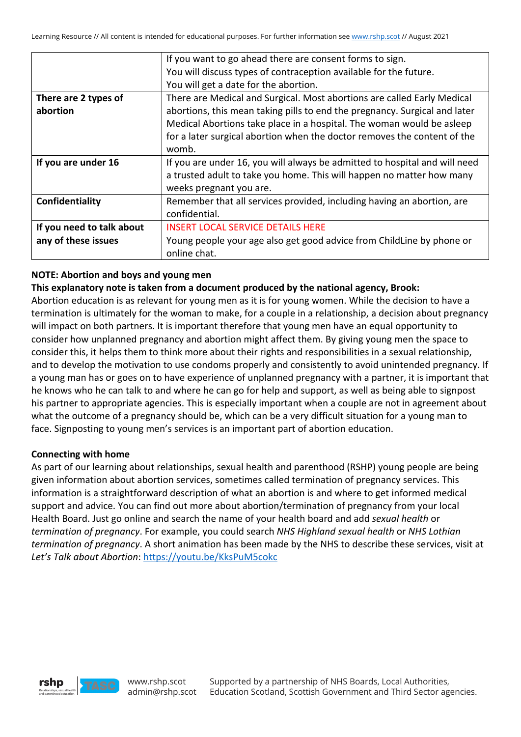|                           | If you want to go ahead there are consent forms to sign.                   |
|---------------------------|----------------------------------------------------------------------------|
|                           | You will discuss types of contraception available for the future.          |
|                           | You will get a date for the abortion.                                      |
| There are 2 types of      | There are Medical and Surgical. Most abortions are called Early Medical    |
| abortion                  | abortions, this mean taking pills to end the pregnancy. Surgical and later |
|                           | Medical Abortions take place in a hospital. The woman would be asleep      |
|                           | for a later surgical abortion when the doctor removes the content of the   |
|                           | womb.                                                                      |
| If you are under 16       | If you are under 16, you will always be admitted to hospital and will need |
|                           | a trusted adult to take you home. This will happen no matter how many      |
|                           | weeks pregnant you are.                                                    |
| Confidentiality           | Remember that all services provided, including having an abortion, are     |
|                           | confidential.                                                              |
| If you need to talk about | <b>INSERT LOCAL SERVICE DETAILS HERE</b>                                   |
| any of these issues       | Young people your age also get good advice from ChildLine by phone or      |
|                           | online chat.                                                               |

## **NOTE: Abortion and boys and young men**

## **This explanatory note is taken from a document produced by the national agency, Brook:**

Abortion education is as relevant for young men as it is for young women. While the decision to have a termination is ultimately for the woman to make, for a couple in a relationship, a decision about pregnancy will impact on both partners. It is important therefore that young men have an equal opportunity to consider how unplanned pregnancy and abortion might affect them. By giving young men the space to consider this, it helps them to think more about their rights and responsibilities in a sexual relationship, and to develop the motivation to use condoms properly and consistently to avoid unintended pregnancy. If a young man has or goes on to have experience of unplanned pregnancy with a partner, it is important that he knows who he can talk to and where he can go for help and support, as well as being able to signpost his partner to appropriate agencies. This is especially important when a couple are not in agreement about what the outcome of a pregnancy should be, which can be a very difficult situation for a young man to face. Signposting to young men's services is an important part of abortion education.

#### **Connecting with home**

As part of our learning about relationships, sexual health and parenthood (RSHP) young people are being given information about abortion services, sometimes called termination of pregnancy services. This information is a straightforward description of what an abortion is and where to get informed medical support and advice. You can find out more about abortion/termination of pregnancy from your local Health Board. Just go online and search the name of your health board and add *sexual health* or *termination of pregnancy*. For example, you could search *NHS Highland sexual health* or *NHS Lothian termination of pregnancy*. A short animation has been made by the NHS to describe these services, visit at *Let's Talk about Abortion*: https://youtu.be/KksPuM5cokc